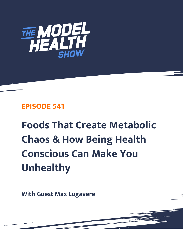

# **EPISODE 541**

**Foods That Create Metabolic Chaos & How Being Health Conscious Can Make You Unhealthy**

**With Guest Max Lugavere**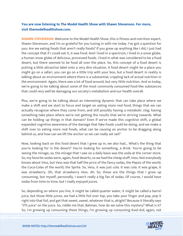# **You are now listening to The Model Health Show with Shawn Stevenson. For more, visit themodelhealthshow.com.**

**SHAWN STEVENSON:** Welcome to the Model Health Show, this is fitness and nutrition expert, Shawn Stevenson, and I'm so grateful for you tuning in with me today. I've got a question for you: Are we eating foods that aren't really foods? If you grew up anything like I did, I just had the concept that if I could eat it, it was food. And I lived in a spectrum, I lived in a snow globe, a human snow globe of delicious, processed foods. I lived in what was considered to be a food desert, but there seemed to be food all over the place. So, this concept of a food desert is putting a little attractive label onto a very dire situation. A food desert might be a place you might go on a safari, you can go on a little trip with your boo, but a food desert in reality is talking about an environment where there is a substantial, crippling lack of actual nutrition in the environment. Again, there was a lot of food around, but very little nutrition. And so today, we're going to be talking about some of the most commonly consumed food-like substances that could very well be damaging our society's metabolism and our health overall.

Plus, we're going to be talking about an interesting dynamic that can take place where we make a shift and we start to focus and target on eating more real food, things that we can actually recognize where they come from, and still possibly having a metabolic clog, having something take place where we're not getting the results that we're striving towards. What can be holding up things in that domain? Even if we've made this cognitive shift, a global expanded cognitive awareness of the damage that fake foods could be doing, and we make a shift over to eating more real foods, what can be causing an anchor to be dragging along behind us, and how can we lift the anchor so we can really set sail?

Now, looking back on this food desert that I grew up in, we also had... What's the thing that you're looking for in the desert? You're looking for something, a drink. You're going to be seeing the mirage, so, the mirage that I saw on a daily basis was the soda at the corner store. So, my favorite sodas were, again, food deserts, so we had the cheap stuff, Vess. Not everybody knows about Vess, but Vess was that half the price of the fancy sodas, the Pepsis of the world, the Coca-Colas of the world, the Sprite. So, Vess, it was just cola. It was cola. It was grape, it was strawberry. Oh, that strawberry Vess. Ah. So, these are the things that I grew up consuming, but myself, personally, I wasn't really a big fan of sodas. Of course, I would have sodas from time to time, but I really enjoyed juices.

So, depending on where you live, it might be called quarter water, it might be called a barrel juice, but those little juices, we had a little foil over top, you take your finger and pop, pop it right into that foil, and get that sweet, sweet, whatever that is, alright? Because it literally says "0% juice" on the juice. So, riddle me that, Batman, how do we solve this mystery? What is it? [So, I](https://themodelhealthshow.com/podcasts/max-lugavere-metabollic-chaos/)'[m growing up consuming these things, I](https://themodelhealthshow.com/podcasts/max-lugavere-metabollic-chaos/)'[m growing up consuming Kool-Aid, again, not](https://themodelhealthshow.com/podcasts/max-lugavere-metabollic-chaos/)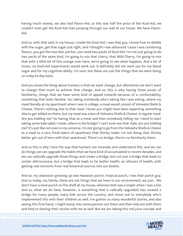having much money, we also had Flavor-Aid, so this was half the price of the Kool-Aid, we couldn't even get the Kool-Aid man jumping through our wall at our house. We have Flavor-Aid.

And so, with that said, in my house, I made the Kool-Aid, I was that guy, I know how to dabble with the sugar, get that sugar just right, and I thought I was advanced 'cause I was combining flavors, you got the two-liter pitcher, you need two-packs of Kool-Aid. I'm not just going to do two packs of the same kind, I'm going to mix that cherry, that Wild Cherry, I'm going to mix that with a little bit of this orange over here, we're going to see what happens. And a lot of times, my Kool-Aid experiments would work out. It definitely did not work out for my blood sugar and for my cognitive ability, I'm sure, but these are just the things that we were doing on a day-to-day basis.

And you know the thing about humans is that we want change, but oftentimes we don't want to change that much to achieve that change. And so, this is why having those pivots of familiarity, things that we have some kind of appeal towards because of a comfortability, something that looks familiar. So, taking somebody who's eating like I was eating, where my meal literally at my apartment when I was in college, a meal would consist of Velveeta Shells & Cheese. There's nothing else to that meal. I know you might have been expecting something else to get added on there, but my meal was a box of Velveeta Shells & Cheese. A regular meal. Are you kidding me? So having that as a meal, and then somebody telling me I need to start eating some kale salad, I mean, where is the bridge? I can't even see that. Kale, are you kidding me? It's just like not even in my universe. I'm not going to go from the Velveeta Shells & Cheese as a meal to a nice, fresh batch of sauerkraut that Shirley made. I'm not doing that. Shirley better get out of here with that sauerkraut. There's no bridge, there's no familiarity there.

And so this is why I love the way that humans can innovate and understand this, and we can do things, we can upgrade the habits that we have kind of accumulated in recent decades, and we can radically upgrade those things and create a bridge, but not just a bridge that leads to similar deliciousness, but a bridge that leads to far better health, an infusion of health, with getting real nutrients from real botanical sources into our bodies.

And so, my obsession growing up was Hawaiian punch, tropical punch, I was that punch guy. And so today, my family, these are not things that we have in our environment, we just... We don't have a wine punch on the shelf at my house, whereas that was a staple when I was a kid. And so, what we do have, however, is something that is radically upgraded, has created a bridge for many people, many kids across the country, and shout out to everybody who's implemented this with their children as well, I've gotten so many wonderful stories, and also seeing this first-hand, I might bump into some parents out there and their kids are with them [and they](https://themodelhealthshow.com/podcasts/max-lugavere-metabollic-chaos/)'[re sharing their stories with me as well. But we are taking this red juice concept and](https://themodelhealthshow.com/podcasts/max-lugavere-metabollic-chaos/) 

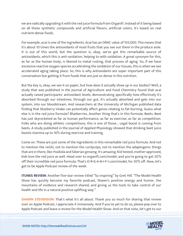we are radically upgrading it with the red juice formula from Organifi. Instead of it being based on all these synthetic compounds and artificial flavors, artificial colors, it's based on real nutrient-dense foods.

For example, acai is one of the ingredients. Acai has an ORAC value of 103,000. This means that it's about 10 times the antioxidants of most fruits that you see out there in the produce aisle. It is out of this world, but the question is, okay, we've got this remarkable source of antioxidants, which this is anti-oxidation, helping to with oxidation. A great synonym for this, as far as the human body, is likened to metal rusting, that process of aging. So, if we have excessive reactive oxygen species accelerating the oxidation of our tissues, this is when we see accelerated aging taking place. So, this is why antioxidants are super important part of this conversation but getting it from foods that are just so dense in this nutrition.

But the key is, okay, we see it on paper, but how does it actually show up in our bodies? Well, a study that was published in the Journal of Agriculture and Food Chemistry found that acai actually raised participants' antioxidant levels, demonstrating specifically how effectively it's absorbed through our intestines, through our gut. It's actually absorbed and gets into our system, into our bloodstream. And researchers at the University of Michigan published data finding that blueberry intake can potentially affect genes relating to fat-burning. Guess what else is in the red juice formula? Blueberries. Another thing that's in this formula: Beets. Beet has just skyrocketed as far as human performance, as far as exercise, as far as competition. Folks who are doing athletic competitions, this is one of those... Legal boost is coming from beets. A study published in the Journal of Applied Physiology showed that drinking beet juice boosts stamina up to 16% during exercise and training.

Come on. These are just some of the ingredients in this remarkable red juice formula. And not to mention the reishi, not to mention the cordyceps, not to mention the adaptogenic things that are in there, like rhodiola and Siberian ginseng. It's amazing. Kid-tested, mother-approved, kids love the red juice as well. Head over to organifi.com/model, and you're going to get 20% off their incredible red juice formula. That's O-R-G-A-N-I-F-I.com/model, for 20% off. Now, let's get to be Apple Podcast review of the week.

**ITUNES REVIEW:** Another five-star review titled "So inspiring" by Gret Hill. "The Model Health Show has quickly become my favorite podcast, Shawn's positive energy and humor, the mountains of evidence and research shared, and giving us the tools to take control of our health and life in a natural positive uplifting way."

**SHAWN STEVENSON:** That's what it's all about. Thank you so much for sharing that review over on Apple Podcast, I appreciate it immensely. And if you've yet to do so, please pop over to [Apple Podcast and leave a review for the Model Health Show. And on that note, let](https://themodelhealthshow.com/podcasts/max-lugavere-metabollic-chaos/)'[s get to our](https://themodelhealthshow.com/podcasts/max-lugavere-metabollic-chaos/)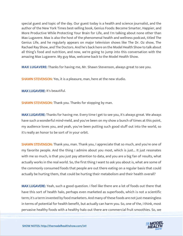special guest and topic of the day. Our guest today is a health and science journalist, and the author of the New York Times best-selling book, Genius Foods: Become Smarter, Happier, and More Productive While Protecting Your Brain for Life, and I'm talking about none other than Max Lugavere. Max is also the host of the phenomenal health and wellness podcast, titled The Genius Life, and he regularly appears on major television shows like The Dr. Oz show, The Rachael Ray Show, and The Doctors. And he's back here on the Model Health Show to talk about all thing's food and nutrition, and now, we're going to jump into this conversation with the amazing Max Lugavere. My guy Max, welcome back to the Model Health Show.

**MAX LUGAVERE:** Thanks for having me, Mr. Shawn Stevenson, always great to see you.

**SHAWN STEVENSON:** Yes, it is a pleasure, man, here at the new studio.

MAX LUGAVERE: It's beautiful.

**SHAWN STEVENSON: Thank you. Thanks for stopping by man.** 

MAX LUGAVERE: Thanks for having me. Every time I get to see you, it's always great. We always have such a wonderful mind-meld, and you've been on my show a bunch of times at this point, my audience loves you, and yeah, you've been putting such good stuff out into the world, so it's really an honor to be sort of in your orbit.

SHAWN STEVENSON: Thank you, man. Thank you, I appreciate that so much, and you're one of my favorite people. And the thing I admire about you most, which is just... It just resonates with me so much, is that you just pay attention to data, and you are a big fan of results, what actually works in the real world. So, the first thing I want to ask you about is, what are some of the commonly consumed foods that people are out there eating on a regular basis that could actually be hurting them, that could be hurting their metabolism and their health overall?

MAX LUGAVERE: Yeah, such a good question. I feel like there are a lot of foods out there that have this sort of health halo, perhaps even marketed as superfoods, which is not a scientific term; it's a term invented by food marketers. And many of these foods are not just meaningless in terms of potential for health benefit, but actually can harm you. So, one of the, I think, most pervasive healthy foods with a healthy halo [out there are commercial fruit smoothies. So, we](https://themodelhealthshow.com/podcasts/max-lugavere-metabollic-chaos/)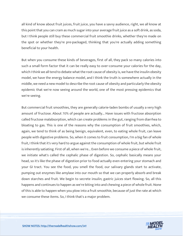all kind of know about fruit juices, fruit juice, you have a savvy audience, right, we all know at this point that you can cram as much sugar into your average fruit juice as a soft drink, as soda, but I think people still buy these commercial fruit smoothie drinks, whether they're made on the spot or whether they're pre-packaged, thinking that you're actually adding something beneficial to your health.

But when you consume these kinds of beverages, first of all, they pack so many calories into such a small form factor that it can be really easy to over-consume your calories for the day, which I think we all tend to debate what the root cause of obesity is, we have the insulin obesity model, we have the energy balance model, and I think the truth is somewhere actually in the middle, we need a new model to describe the root cause of obesity and particularly the obesity epidemic that we're now seeing around the world, one of the most pressing epidemics that we're seeing.

But commercial fruit smoothies, they are generally calorie-laden bombs of usually a very high amount of fructose. About 70% of people are actually... Have issues with fructose absorption called fructose malabsorption, which can create problems in the gut, ranging from diarrhea to bloating to gas. This is one of the reasons why the consumption of fruit smoothies, which, again, we tend to think of as being benign, equivalent, even, to eating whole fruit, can leave people with digestive problems. So, when it comes to fruit consumption, I'm a big fan of whole fruit, I think that it's very hard to argue against the consumption of whole fruit, but whole fruit is inherently satiating. First of all, when we're... Even before we consume a piece of whole fruit, we initiate what's called the cephalic phase of digestion. So, cephalic basically means your head, so it's like the phase of digestion prior to food actually even entering your stomach and your GI tract. You see the food, you smell the food, our salivary glands start to activate, pumping out enzymes like amylase into our mouth so that we can properly absorb and break down starches and fruit. We begin to secrete insulin; gastric juices start flowing. So, all this happens and continues to happen as we're biting into and chewing a piece of whole fruit. None of this is able to happen when you plow into a fruit smoothie, because of just the rate at which we consume these items. So, I think that's a major problem.

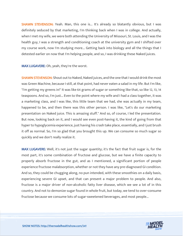SHAWN STEVENSON: Yeah. Man, this one is... It's already so blatantly obvious, but I was definitely seduced by that marketing, I'm thinking back when I was in college. And actually, when I met my wife, we were both attending the University of Missouri, St. Louis, and I was the health guy, I was a strength and conditioning coach at the university gym and I shifted over my course work, now I'm studying more... Getting back into biology and all the things that I detested earlier on now that I'm helping people, and so, I was drinking these Naked juices.

MAX LUGAVERE: Oh, yeah, they're the worst.

**SHAWN STEVENSON:** Shout out to Naked, Naked juices, and the one that I would drink the most was Green Machine, because I still, at that point, had never eaten a salad in my life. But I'm like, "I'm getting my greens in!" It was like 64 grams of sugar or something like that, so like 12, 13, 14 teaspoons. And so, I'm just... Even to the point where my wife and I had a class together, it was a marketing class, and I was like, this little team that we had, she was actually in my team, happened to be, and then there was this other person. I was like, "Let's do our marketing presentation on Naked juice. This is amazing stuff." And so, of course, I led the presentation. But now, looking back on it, and I would see even post-having it, the kind of going from that hyper to hypoglycemia experience, just having his crash take place, essentially, and I just brush it off as normal. So, I'm so glad that you brought this up. We can consume so much sugar so quickly and we don't really realize it.

MAX LUGAVERE: Well, it's not just the sugar quantity; it's the fact that fruit sugar is, for the most part, it's some combination of fructose and glucose, but we have a finite capacity to properly absorb fructose in the gut, and as I mentioned, a significant portion of people experience fructose malabsorption, whether or not they have any pre-diagnosed GI condition. And so, they could be chugging along, no pun intended, with these smoothies on a daily basis, experiencing severe GI upset, and that can present a major problem to people. And also, fructose is a major driver of non-alcoholic fatty liver disease, which we see a lot of in this country. And not to demonize sugar found in whole fruit, but today, we tend to over-consume fructose because we consume lots of sugar-sweetened beverages, and most people...

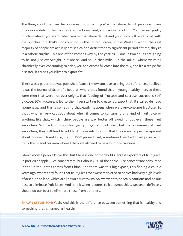The thing about fructose that's interesting is that if you're in a calorie deficit, people who are in a calorie deficit, their bodies are pretty resilient, you can eat a lot of... You can eat pretty much whatever you want, when you're in a calorie deficit and your body will tend to roll with the punches, but that's not common in the United States, in the Western world, the vast majority of people are actually not in a calorie deficit for any significant period of time; they're in a calorie surplus. This one of the reasons why by the year 2030, one in two adults are going to be not just overweight, but obese. And so, in that milieu, in the milieu where we're all chronically over-consuming calories, you add excess fructose into the mix, and it's a recipe for disaster, it causes your liver to export fat.

There was a paper that was published, 'cause I know you love to bring the references, I believe it was the Journal of Scientific Reports, where they found that in young healthy men, so these were men that were not overweight, that feeding of fructose and sucrose, sucrose is 50% glucose, 50% fructose, it led to their liver starting to create fat, export fat. It's called de novo lipogenesis, and this is something that easily happens when we over-consume fructose. So that's why I'm very cautious about when it comes to consuming any kind of fruit juice or anything like that, which I think people are way better off avoiding, but even these fruit smoothies. With a fruit smoothie, yes, you get a bit of fiber, but many commercial fruit smoothies, they will tend to add fruit juices into the mix that they aren't super transparent about. So even Naked Juice, it's not 100% pureed fruit; sometimes they'll add fruit juices, and I think this is another area where I think we all need to be a lot more cautious.

I don't know if people know this, but China is one of the world's largest exporters of fruit juice, in particular apple juice concentrate, but about 70% of the apple juice concentrate consumed in the United States comes from China. And there was this big expose, this finding a couple years ago, where they found that fruit juices that were marketed to babies had very high levels of arsenic and lead, which are known neurotoxins. So, we want to be really cautious and do our best to eliminate fruit juices. And I think when it comes to fruit smoothies, we, yeah, definitely should do our best to eliminate those from our diets.

**SHAWN STEVENSON:** Yeah. And this is the difference between something that is healthy and [something that is framed as healthy.](https://themodelhealthshow.com/podcasts/max-lugavere-metabollic-chaos/)

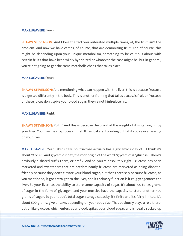#### MAX LUGAVERE: Yeah.

**SHAWN STEVENSON:** And I love the fact you reiterated multiple times, of, the fruit isn't the problem. And now we have camps, of course, that are demonizing fruit. And of course, this might be depending upon your unique metabolism, something to be cautious about with certain fruits that have been wildly hybridized or whatever the case might be, but in general, you're not going to get the same metabolic chaos that takes place.

#### MAX LUGAVERE: Yeah.

**SHAWN STEVENSON:** And mentioning what can happen with the liver, this is because fructose is digested differently in the body. This is another framing that takes places, is fruit or fructose or these juices don't spike your blood sugar; they're not high-glycemic.

#### MAX LUGAVERE: Right.

**SHAWN STEVENSON:** Right? And this is because the brunt of the weight of it is getting hit by your liver. Your liver has to process it first. It can just start printing out fat if you're overbearing on your liver.

MAX LUGAVERE: Yeah, absolutely. So, fructose actually has a glycemic index of... I think it's about 19 or 20. And glycemic index, the root origin of the word "glycemic" is "glucose." There's obviously a shared suffix there, or prefix. And so, you're absolutely right. Fructose has been marketed and sweeteners that are predominantly fructose are marketed as being diabeticfriendly because they don't elevate your blood sugar, but that's precisely because fructose, as you mentioned, it goes straight to the liver, and its primary function is it re-glycogenates the liver. So your liver has the ability to store some capacity of sugar. It's about 100 to 125 grams of sugar in the form of glycogen, and your muscles have the capacity to store another 400 grams of sugar. So your body's total sugar storage capacity, it's finite and it's fairly limited. It's about 500 grams, give or take, depending on your body size. That obviously plays a role there, [but unlike glucose, which enters your blood, spikes your blood sugar, and is ideally sucked up](https://themodelhealthshow.com/podcasts/max-lugavere-metabollic-chaos/) 

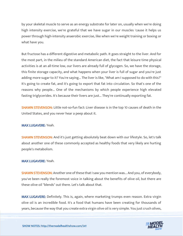by your skeletal muscle to serve as an energy substrate for later on, usually when we're doing high intensity exercise, we're grateful that we have sugar in our muscles 'cause it helps us power through high-intensity anaerobic exercise, like when we're weight training or boxing or what have you.

But fructose has a different digestive and metabolic path. It goes straight to the liver. And for the most part, in the milieu of the standard American diet, the fact that leisure time physical activities is at an all-time low, our livers are already full of glycogen. So, we have the storage, this finite storage capacity, and what happens when your liver is full of sugar and you're just adding more sugar to it? You're saying... The liver is like, "What am I supposed to do with this?" It's going to create fat, and it's going to export that fat into circulation. So that's one of the reasons why people... One of the mechanisms by which people experience high elevated fasting triglycerides. It's because their livers are just... They're continually exporting fat.

SHAWN STEVENSON: Little not-so-fun fact: Liver disease is in the top 10 causes of death in the United States, and you never hear a peep about it.

#### MAX LUGAVERE: Yeah.

**SHAWN STEVENSON:** And it's just getting absolutely beat down with our lifestyle. So, let's talk about another one of these commonly accepted as healthy foods that very likely are hurting people's metabolism.

#### MAX LUGAVERE: Yeah.

SHAWN STEVENSON: Another one of these that I saw you mention was... And you, of everybody, you've been really the foremost voice in talking about the benefits of olive oil, but there are these olive oil "blends" out there. Let's talk about that.

MAX LUGAVERE: Definitely. This is, again, where marketing trumps even reason. Extra virgin olive oil is an incredible food. It's a food that humans have been creating for thousands of [years, because the way that you create extra virgin olive oil is very simple. You just crush olives,](https://themodelhealthshow.com/podcasts/max-lugavere-metabollic-chaos/)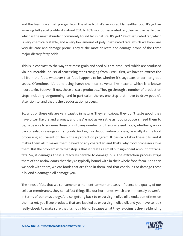and the fresh juice that you get from the olive fruit, it's an incredibly healthy food. It's got an amazing fatty acid profile, it's about 70% to 80% monounsaturated fat, oleic acid in particular, which is the most abundant commonly found fat in nature. It's got 15% of saturated fat, which is very chemically stable, and a very low amount of polyunsaturated fats, which we know are very delicate and damage prone. They're the most delicate and damage-prone of the three major dietary fatty acids.

This is in contrast to the way that most grain and seed oils are produced, which are produced via innumerable industrial processing steps ranging from... Well, first, we have to extract the oil from the food, whatever that food happens to be, whether it's soybeans or corn or grape seeds. Oftentimes it's done using harsh chemical solvents like hexane, which is a known neurotoxin. But even if not, these oils are produced... They go through a number of production steps including de-gumming, and in particular, there's one step that I love to draw people's attention to, and that is the deodorization process.

So, a lot of these oils are very caustic in nature. They're noxious, they don't taste good, they have bitter flavors and aromas, and they're not as versatile as food producers need them to be, to be able to squeeze these oils into any number of ultra-processed foods, whether granola bars or salad dressings or frying oils. And so, this deodorization process, basically it's the food processing equivalent of the witness protection program. It basically takes these oils, and it makes them all it makes them devoid of any character, and that's why food processors love them. But the problem with that step is that it creates a small but significant amount of transfats. So, it damages these already vulnerable-to-damage oils. The extraction process strips them of the antioxidants that they're typically bound with in their whole food form. And then we cook with them, we eat foods that are fried in them, and that continues to damage these oils. And a damaged oil damage you.

The kinds of fats that we consume on a moment-to-moment basis influence the quality of our cellular membranes, they can affect things like our hormones, which are immensely powerful in terms of our physiology. And so, getting back to extra virgin olive oil blends, sometimes on the market, you'll see products that are labeled as extra virgin olive oil, and you have to look [really closely to make sure that it](https://themodelhealthshow.com/podcasts/max-lugavere-metabollic-chaos/)'[s not a blend. Because what they](https://themodelhealthshow.com/podcasts/max-lugavere-metabollic-chaos/)'[re doing is they](https://themodelhealthshow.com/podcasts/max-lugavere-metabollic-chaos/)'[re blending](https://themodelhealthshow.com/podcasts/max-lugavere-metabollic-chaos/)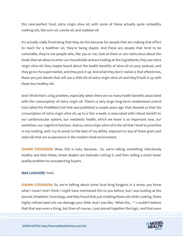this near-perfect food, extra virgin olive oil, with some of these actually quite unhealthy cooking oils, like corn oil, canola oil, and soybean oil.

It's actually really frustrating that they do this because for people that are making that effort to reach for a healthier oil, they're being duped. And these are people that tend to be vulnerable, they're not people who, like you or me, look at them or are meticulous about the foods that we allow to enter our households and are looking at the ingredients; they see extra virgin olive oil, they maybe heard about the health benefits of olive oil on your podcast, and they go to the supermarket, and they pick it up. And what they don't realize is that oftentimes, these are just blends that will use a little bit of extra virgin olive oil and they'll bulk it up with these less healthy oils.

And I think that's a big problem, especially when there are so many health benefits associated with the consumption of extra virgin oil. There's a very large long-term randomized control trial called the PrediMed trial that was published a couple years ago that showed us that the consumption of extra virgin olive oil, up to a liter a week, is associated with robust benefit to our cardiovascular system, our metabolic health, which we know is so important now, our waistlines, our cognitive function. And so, extra virgin olive oil is the oil that I tend to prioritize in my cooking, and I try to avoid, to the best of my ability, exposure to any of these grain and seed oils that are so pervasive in the modern food environment.

**SHAWN STEVENSON:** Wow, this is nuts, because... So, we're taking something ridiculously healthy and then these, street dealers are basically cutting it, and then selling a much lower quality problem to unsuspecting buyers.

## MAX LUGAVERE: Yeah.

SHAWN STEVENSON: So, we're talking about some local drug kingpins in a sense, you know what I mean? And I think I might have mentioned this to you before, but I was looking at the journal, Inhalation Toxicology, and they found that just smelling these oils while cooking, these highly refined seed oils can damage your DNA. And I was like, "What the... "" I couldn't believe [that that was even a thing, but then of course, I just pieced together the logic, and that even](https://themodelhealthshow.com/podcasts/max-lugavere-metabollic-chaos/)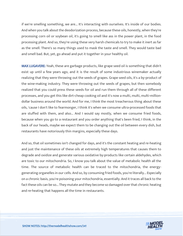if we're smelling something, we are... It's interacting with ourselves. It's inside of our bodies. And when you talk about the deodorization process, because these oils, honestly, when they're processing corn oil or soybean oil, it's going to smell like ass in the power plant, in the food processing plant. And so, they're using these very harsh chemicals to try to make it inert as far as the smell. There's so many things used to mask the taste and smell. They would taste bad and smell bad. But, yet, go ahead and put it together in your healthy oil.

MAX LUGAVERE: Yeah, these are garbage products, like grape seed oil is something that didn't exist up until a few years ago, and it is the result of some industrious winemaker actually realizing that they were throwing out the seeds of grapes. Grape seed oils, it's a by-product of the wine-making industry. They were throwing out the seeds of grapes, but then somebody realized that you could press these seeds for oil and run them through all of these different processes, and you get this like dirt-cheap cooking oil and it's now a multi, multi, multi-milliondollar business around the world. And for me, I think the most treacherous thing about these oils, 'cause I don't like to fearmonger, I think it's when we consume ultra-processed foods that are stuffed with them, and also... And I would say mostly, when we consume fried foods, because when you go to a restaurant and you order anything that's been fried, I think, in the back of our heads, maybe we expect them to be changing out the oil between every dish, but restaurants have notoriously thin margins, especially these days.

And so, that oil sometimes isn't changed for days, and it's the constant heating and re-heating and just the maintenance of these oils at extremely high temperatures that causes them to degrade and oxidize and generate various oxidative by-products like certain aldehydes, which are toxic to our mitochondria. So, I know you talk about the value of metabolic health all the time. The source of metabolic health can be traced to the mitochondria, the energygenerating organelles in our cells. And so, by consuming fried foods, you're literally... Especially on a chronic basis, you're poisoning your mitochondria, essentially. And it traces all back to the fact these oils can be so... They mutate and they become so damaged over that chronic heating and re-heating that happens all the time in restaurants.

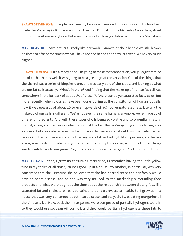SHAWN STEVENSON: If people can't see my face when you said poisoning our mitochondria, I made the Macaulay Culkin face, and then I realized I'm making the Macaulay Culkin face, shout out to Home Alone, everybody. But man, that is nuts. Have you talked with Dr. Cate Shanahan?

MAX LUGAVERE: I have not, but I really like her work. I know that she's been a whistle-blower on these oils for some time now. So, I have not had her on the show, but yeah, we're very much aligned.

**SHAWN STEVENSON:** It's already done. I'm going to make that connection, you guys just remind me of each other as well, it was going to be a great, great conversation. One of the things that she shared was a series of biopsies done, one was early part of the 1900s, and looking at what are our fat cells actually... What's in there? And finding that the make-up of human fat cell was somewhere in the ballpark of about 2% of these PUFAs, these polyunsaturated fatty acids. But more recently, when biopsies have been done looking at the constitution of human fat cells, now it was upwards of about 20 to even upwards of 30% polyunsaturated fats. Literally the make-up of our cells is different. We're not even the same humans anymore; we're made up of different ingredients. And with these types of oils being so volatile and so pro-inflammatory, it's just, again, another reason why it's not just the fact that we're gaining so much weight as a society, but we're also so much sicker. So, now, let me ask you about this other, which when I was a kid, I remember my grandmother, my grandfather had high blood pressure, and he was giving some orders on what are you supposed to eat by the doctor, and one of those things was to switch over to margarine. So, let's talk about, what is margarine? Let's talk about that.

MAX LUGAVERE: Yeah, I grew up consuming margarine, I remember having the little yellow tubs in my fridge at all times, 'cause I grew up in a house, my mother, in particular, was very concerned that she... Because she believed that she had heart disease and her family would develop heart disease, and so she was very attuned to the marketing surrounding food products and what we thought at the time about the relationship between dietary fats, like saturated fat and cholesterol, as it pertained to our cardiovascular health. So, I grew up in a house that was very concerned about heart disease, and so, yeah, I was eating margarine all the time as a kid. Now, back then, margarines were composed of partially hydrogenated oils, [so they would use soybean oil, corn oil, and they would partially hydrogenate these fats to](https://themodelhealthshow.com/podcasts/max-lugavere-metabollic-chaos/) 

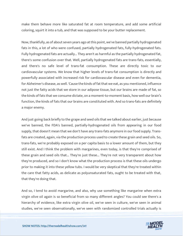make them behave more like saturated fat at room temperature, and add some artificial coloring, squirt it into a tub, and that was supposed to be your butter replacement.

Now, thankfully, as of about seven years ago at this point, we've banned partially hydrogenated fats in this, a lot of who were confused, partially hydrogenated fats, fully-hydrogenated fats. Fully hydrogenated fats are actually... They aren't as harmful as the partially hydrogenated fat, there's some confusion over that. Well, partially hydrogenated fats are trans-fats, essentially, and there's no safe level of trans-fat consumption. These are directly toxic to our cardiovascular systems. We know that higher levels of trans-fat consumption is directly and powerfully associated with increased risk for cardiovascular disease and even for dementia, for Alzheimer's disease, as well. 'Cause the kinds of fat that we eat, as you mentioned, influence not just the fatty acids that we store in our adipose tissue, but our brains are made of fat, so the kinds of fats that we consume dictate, on a moment-to-moment basis, how well our brain's function, the kinds of fats that our brains are constituted with. And so trans-fats are definitely a major enemy.

And just going back briefly to the grape and seed oils that we talked about earlier, just because we've banned, the FDA's banned, partially-hydrogenated oils from appearing in our food supply, that doesn't mean that we don't have any trans-fats anymore in our food supply. Transfats are created, again, via the production process used to create these grain and seed oils. So, trans-fats, we're probably exposed on a per capita basis to a lower amount of them, but they still exist. And I think the problem with margarines, even today, is that they're comprised of these grain and seed oils that... They're just these... They're not very transparent about how they're produced, and so I don't know what the production process is that these oils undergo prior to making it into these yellow tubs. I would be very skeptical that they're treated within the care that fatty acids, as delicate as polyunsaturated fats, ought to be treated with that, that they're doing that.

And so, I tend to avoid margarine, and also, why use something like margarine when extra virgin olive oil again is so beneficial from so many different angles? You could see there's a hierarchy of evidence, like extra virgin olive oil, we've seen in culture, we've seen in animal [studies, we](https://themodelhealthshow.com/podcasts/max-lugavere-metabollic-chaos/)'[ve seen observationally, we](https://themodelhealthshow.com/podcasts/max-lugavere-metabollic-chaos/)'[ve seen with randomized controlled trials actually is](https://themodelhealthshow.com/podcasts/max-lugavere-metabollic-chaos/)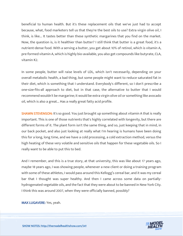beneficial to human health. But it's these replacement oils that we've just had to accept because, what, food marketers tell us that they're the best oils to use? Extra virgin olive oil, I think, is like... It tastes better than these synthetic margarines that you find on the market. Now, the question is, is it healthier than butter? I still think that butter is a great food, it's a nutrient-dense food. With a serving a butter, you get about 10% of retinol, which is vitamin A, pre-formed vitamin A, which is highly bio-available, you also get compounds like butyrate, CLA, vitamin K2.

In some people, butter will raise levels of LDL, which isn't necessarily, depending on your overall metabolic health, a bad thing, but some people might want to reduce saturated fat in their diet, which is something that I understand. Everybody's different, so I don't prescribe a one-size-fits-all approach to diet, but in that case, the alternative to butter that I would recommend wouldn't be margarine; it would be extra virgin olive oil or something like avocado oil, which is also a great... Has a really great fatty acid profile.

**SHAWN STEVENSON:** It's so good. You just brought up something about vitamin A that is really important. This is one of those nutrients that's highly correlated with longevity, but there are different forms of it. The plant form isn't the same thing, and so, just keeping that in mind, in our back pocket, and also just looking at really what I'm hearing is humans have been doing this for a long, long time, and we have a cold processing, a cold extraction method, versus the high heating of these very volatile and sensitive oils that happen for these vegetable oils. So I really want to be able to put this to bed.

And I remember, and this is a true story, at that university, this was like about 17 years ago, maybe 18 years ago, I was showing people, whenever a new client or doing a training program with some of these athletes, I would pass around this Kellogg's cereal bar, and it was my cereal bar that I thought was super healthy. And then I came across some data on partiallyhydrogenated vegetable oils, and the fact that they were about to be banned in New York City. I think this was around 2007, when they were officially banned, possibly?

MAX LUGAVERE: Yes, yeah.

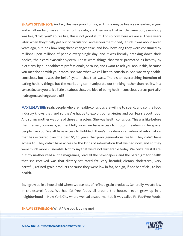**SHAWN STEVENSON:** And so, this was prior to this, so this is maybe like a year earlier, a year and a half earlier, I was still sharing the data, and then once that article came out, everybody was like, "I told you!" You're like, this is not good stuff. And so now, here we are all these years later, when they finally get out of circulation, and as you mentioned, I think it was about seven years ago, but look how long these changes take, and look how long they were consumed by millions upon millions of people every single day, and it was literally breaking down their bodies, their cardiovascular system. These were things that were promoted as healthy by dietitians, by our healthcare professionals, because, and I want to ask you about this, because you mentioned with your mom, she was what we call health conscious. She was very healthconscious, but it was the belief system that that was... There's an overarching intention of eating healthy things, but the marketing can manipulate our thinking rather than reality, in a sense. So, can you talk a little bit about that, the idea of being health-conscious versus partiallyhydrogenated vegetable oil?

MAX LUGAVERE: Yeah, people who are health-conscious are willing to spend, and so, the food industry knows that, and so they're happy to exploit our anxieties and our fears about food. And so, my mother was one of those characters. She was health conscious. This was like before the Internet, obviously, so thankfully, now, we have access to thought leaders in the space, people like you. We all have access to PubMed. There's this democratization of information that has occurred over the past 10, 20 years that prior generations really... They didn't have access to. They didn't have access to the kinds of information that we had now, and so they were much more vulnerable. Not to say that we're not vulnerable today. We certainly still are, but my mother read all the magazines, read all the newspapers, and the paradigm for health that she received was that dietary saturated fat, very harmful; dietary cholesterol, very harmful; refined grain products because they were low in fat, benign, if not beneficial, to her health.

So, I grew up in a household where we ate lots of refined grain products. Generally, we ate low in cholesterol foods. We had fat-free foods all around the house. I even grew up in a neighborhood in New York City where we had a supermarket, it was called F3, Fat-Free Foods.

SHAWN STEVENSON: What? Are you kidding me?

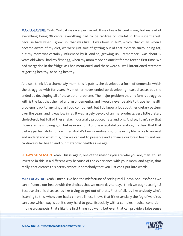MAX LUGAVERE: Yeah. Yeah, it was a supermarket. It was like a 99-cent store, but instead of everything being 99 cents, everything had to be fat-free or low-fat in this supermarket, because back when I grew up, that was like... I was born in 1982, which, thankfully, when I became aware of my diet, we were just sort of getting out of that hysteria surrounding fat, but my mom was certainly influenced by it. And so, growing up, I remember I was about 12 years old when I had my first egg, when my mom made an omelet for me for the first time. We had margarine in the fridge, as I had mentioned, and these were all well-intentioned attempts at getting healthy, at being healthy.

And so, I think it's a shame. My mom, this is public, she developed a form of dementia, which she struggled with for years. My mother never ended up developing heart disease, but she ended up developing all of these other problems. The major problem that my family struggled with is the fact that she had a form of dementia, and I would never be able to trace her health problems back to any singular food component, but I do know a lot about her dietary pattern over the years, and it was low in fat. It was largely devoid of animal products, very little dietary cholesterol, but full of these fake, industrially produced fats and oils. And so, I can't say that those are the smoking gun, but as in sort of N of one anecdotal correlation, it's clear that that dietary pattern didn't protect her. And it's been a motivating force in my life to try to unravel and understand what it is, how we can eat to preserve and enhance our brain health and our cardiovascular health and our metabolic health as we age.

**SHAWN STEVENSON:** Yeah. This is, again, one of the reasons you are who you are, man. You're invested in this in a different way because of the experience with your mom, and again, that really, that creates this perseverance in somebody that you just can't put into words.

MAX LUGAVERE: Yeah. I mean, I've had the misfortune of seeing real illness. And insofar as we can influence our health with the choices that we make day-to-day, I think we ought to, right? Because chronic disease, it's like trying to get out of that... First of all, it's like anybody who's listening to this, who's ever had a chronic illness knows that it's essentially the fog of war. You can't see which way is up, it's very hard to get... Especially with a complex medical condition, [finding a diagnosis, that](https://themodelhealthshow.com/podcasts/max-lugavere-metabollic-chaos/)'[s like the first thing you want, but even that can provide a false sense](https://themodelhealthshow.com/podcasts/max-lugavere-metabollic-chaos/)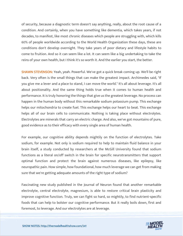of security, because a diagnostic term doesn't say anything, really, about the root cause of a condition. And certainly, when you have something like dementia, which takes years, if not decades, to manifest, like most chronic diseases which people are struggling with, which kills 60% of people worldwide according to the World Health Organization these days, these are conditions don't develop overnight. They take years of poor dietary and lifestyle habits to come to fruition. And so it can seem like a lot. It can seem like a big undertaking to take the reins of your own health, but I think it's so worth it. And the earlier you start, the better.

SHAWN STEVENSON: Yeah, yeah. Powerful. We've got a quick break coming up. We'll be right back. Very often is the small things that can make the greatest impact. Archimedes said, "If you give me a lever and a place to stand, I can move the world." It's all about leverage. It's all about positionality. And the same thing holds true when it comes to human health and performance. It is truly honoring the things that give us the greatest leverage. No process can happen in the human body without this remarkable sodium potassium pump. This exchange helps our mitochondria to create fuel. This exchange helps our heart to beat. This exchange helps all of our brain cells to communicate. Nothing is taking place without electrolytes. Electrolytes are minerals that carry an electric charge. And also, we've got mountains of pure, good evidence as to their efficacy with every single area of human health.

For example, our cognitive ability depends mightily on the function of electrolytes. Take sodium, for example. Not only is sodium required to help to maintain fluid balance in your brain itself, a study conducted by researchers at the McGill University found that sodium functions as a literal on/off switch in the brain for specific neurotransmitters that support optimal function and protect the brain against numerous diseases, like epilepsy, like neuropathic pain. How simple, how foundational, how much leverage we can get from making sure that we're getting adequate amounts of the right type of sodium?

Fascinating new study published in the Journal of Neuron found that another remarkable electrolyte, central electrolyte, magnesium, is able to restore critical brain plasticity and improve cognitive function. Truly, we can fight so hard, so mightily, to find nutrient-specific foods that can help to bolster our cognitive performance. But it really boils down, first and [foremost, to leverage. And our electrolytes are at leverage.](https://themodelhealthshow.com/podcasts/max-lugavere-metabollic-chaos/)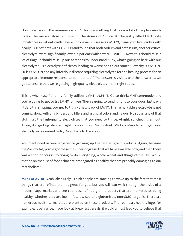Now, what about the immune system? This is something that is on a lot of people's minds today. The meta-analysis published in the Annals of Clinical Biochemistry titled Electrolyte Imbalances in Patients with Severe Coronavirus Disease, COVID-19, it analyzed five studies with nearly 1500 patients with COVID-19 and found that both sodium and potassium, another critical electrolyte, were significantly lower in patients with severe COVID-19. Now, this should raise a lot of flags. It should raise up our antennas to understand, "Hey, what's going on here with our electrolytes? Is electrolyte deficiency leading to worse health outcomes? Severity? COVID-19? Or is COVID-19 and any infectious disease requiring electrolytes for the healing process for an appropriate immune response to be mounted?" The answer is visible, and the answer is, we got to ensure that we're getting high-quality electrolytes in the right ratios.

This is why myself and my family utilizes LMNT, L-M-N-T. Go to drinkLMNT.com/model and you're going to get to try LMNT for free. They're going to send it right to your door. Just pay a little bit in shipping, you get to try a variety pack of LMNT. This remarkable electrolyte is not coming along with any binders and fillers and artificial colors and flavors. No sugar, any of that stuff; just the high-quality electrolytes that you need to thrive. Alright, so, check them out. Again, it's getting shipped right to your door. Go to drinkLMNT.com/model and get your electrolytes optimized today. Now, back to the show.

You mentioned in your experience growing up the refined grain products. Again, because they're low-fat, you've got these the superior grains that we have available now, and then there was a shift, of course, to trying to do everything, whole wheat and things of the like. Would that be on that list of foods that are propagated as healthy that are probably damaging to our metabolism?

MAX LUGAVERE: Yeah, absolutely. I think people are starting to wake up to the fact that most things that are refined are not great for you, but you still can walk through the aisles of a modern supermarket and see countless refined grain products that are marketed as being healthy, whether they are low in fat, low sodium, gluten-free, non-GMO, organic. There are numerous health terms that are planted on these products. The red heart healthy logo, for [example, is pervasive. If you look at breakfast cereals, it would almost lead you to believe that](https://themodelhealthshow.com/podcasts/max-lugavere-metabollic-chaos/)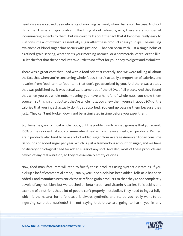heart disease is caused by a deficiency of morning oatmeal, when that's not the case. And so, I think that this is a major problem. The thing about refined grains, there are a number of incriminating aspects to them, but we could talk about the fact that it becomes really easy to just consume a lot of what is essentially sugar after these products pass your lips. The ensuing avalanche of blood sugar that occurs with just one... That can occur with just a single bolus of a refined grain serving, whether it's your morning oatmeal or a commercial cereal or the like. Or it's the fact that these products take little to no effort for your body to digest and assimilate.

There was a great chat that I had with a food scientist recently, and we were talking all about the fact that when you're consuming whole foods, there's actually a proportion of calories, and it varies from food item to food item, that don't get absorbed by you. And there was a study that was published by, it was actually... It came out of the USDA, of all places. And they found that when you eat whole nuts, meaning you have a handful of whole nuts, you chew them yourself, so this isn't nut butter, they're whole nuts, you chew them yourself, about 30% of the calories that you ingest actually don't get absorbed. You end up passing them because they just... They can't get broken down and be assimilated in time before you expel them.

So, the same goes for most whole foods, but the problem with refined grains is that you absorb 100% of the calories that you consume when they're from these refined grain products. Refined grain products also tend to have a lot of added sugar. Your average American today consume 66 pounds of added sugar per year, which is just a tremendous amount of sugar, and we have no dietary or biological need for added sugar of any sort. And also, most of these products are devoid of any real nutrition, so they're essentially empty calories.

Now, food manufacturers will tend to fortify these products using synthetic vitamins. If you pick up a loaf of commercial bread, usually, you'll see niacin has been added, folic acid has been added. Food manufacturers enrich these refined grain products so that they're not completely devoid of any nutrition, but we touched on beta keratin and vitamin A earlier. Folic acid is one example of a nutrient that a lot of people can't properly metabolize. They need to ingest fully, which is the natural form, folic acid is always synthetic, and so, do you really want to be ingesting synthetic nutrients? I'm not saying that these are going to harm you in any

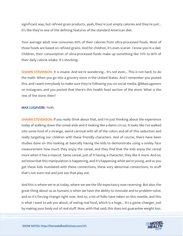significant way, but refined grain products, yeah, they're just empty calories and they're just... It's like they're one of the defining features of the standard American diet.

Your average adult now consumes 60% of their calories from ultra-processed foods. Most of those foods are based on refined grains. And for children, it's even scarier. I know you're a dad. Children, their consumption of ultra-processed foods make up something like 70% to 80% of their daily calorie intake. It's shocking.

**SHAWN STEVENSON:** It is insane. And we're wondering... It's not even... This is not hard, to do the math. When you go into a grocery store in the United States. And I remember you posted this, and I want everybody to make sure they're following you on social media, @MaxLugavere on Instagram, and you posted that there's this health food section of the store. What is the rest of the store, then?

### MAX LUGAVERE: Yeah.

**SHAWN STEVENSON:** If you really think about that, and I'm just thinking about the experience today of walking down the cereal aisle and it looking like a damn circus. It looks like I've walked into some kind of a strange, weird carnival with all of the colors and all of this seduction and really targeting our children with these friendly characters. And of course, there have been studies done on this looking at basically having the kids to demonstrate using a smiley face measurement how much they enjoy the cereal, and they find that the kids enjoy the cereal more when it has a mascot. Same cereal, just of it having a character, they like it more. And so, we know that this manipulation is happening, and it's happening while we're young, and so you get these kids inundated with these connections, these very abnormal connections, to stuff that's not even real and just see that play out.

And this is where we're at today, where we see the life expectancy now reversing. But also, the great thing about us as humans is when we have the ability to innovate and to problem-solve, and so it's forcing change right now. And so, a lot of folks have taken on this mantle, and this is what I want to ask you about, of eating real food, which is a huge... It's a game-changer, just [by making your body out of real stuff. Now, with that said, this does not guarantee weight loss.](https://themodelhealthshow.com/podcasts/max-lugavere-metabollic-chaos/)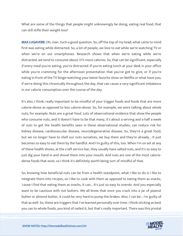What are some of the things that people might unknowingly be doing, eating real food, that can still stifle their weight loss?

MAX LUGAVERE: Oh, man. Such a good question. So, off the top of my head, what came to mind first was eating while distracted. So, a lot of people, we love to eat while we're watching TV or when we're on our smartphones. Research shows that when we're eating while we're distracted, we tend to consume about 15% more calories. So, that can be significant, especially if every meal you're eating, you're distracted. If you're eating lunch at your desk in your office while you're cramming for the afternoon presentation that you've got to give, or if you're eating in front of the TV binge-watching your latest favorite show on Netflix or what have you, if we're doing this chronically throughout the day, that can cause a very significant imbalance in our calorie consumption over the course of the day.

It's also, I think, really important to be mindful of your trigger foods and foods that are more calorie-dense as opposed to less calorie-dense. So, for example, we were talking about whole nuts, for example. Nuts are a great food. Lots of observational evidence that show the people who consume nuts, and it doesn't have to be that many, it's about a serving and a half a week of nuts to get the health benefits seen in these observational studies, can reduce risk for kidney disease, cardiovascular disease, neurodegenerative disease. So, they're a great food, but we no longer have to shell our nuts ourselves, we buy them and they're already... It just becomes so easy to eat them by the handful. And I'm guilty of this, too. When I'm on set at any of these health shows, at the craft service bar, they usually have salted nuts, and it's so easy to just dig your hand in and shovel them into your mouth. And nuts are one of the most caloriedense foods that exist, so I think it's definitely worth being sort of mindful of that.

So, knowing how beneficial nuts can be from a health standpoint, what I like to do is I like to integrate them into recipes, so I like to cook with them as opposed to eating them as snacks, 'cause I find that eating them as snacks, it can... It's just so easy to overdo. And you especially want to be cautious with nut butters. We all know that once you crack into a jar of peanut butter or almond butter, it could be very hard to pump the brakes. Also, I can be... I'm guilty of that as well. So, these are triggers that I've learned personally over time. I think sticking as best [you can to whole foods, you kind of nailed it, but that](https://themodelhealthshow.com/podcasts/max-lugavere-metabollic-chaos/)'[s really important. There was this pivotal](https://themodelhealthshow.com/podcasts/max-lugavere-metabollic-chaos/)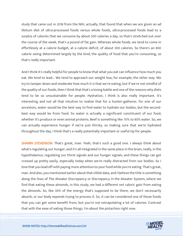study that came out in 2018 from the NIH, actually, that found that when we are given an ad libitum diet of ultra-processed foods versus whole foods, ultra-processed foods lead to a surplus of calories that we consume by about 500 calories a day, so that's stretched out over the course of the week, that's a pound of fat gain. Whereas whole foods, we tend to come in effortlessly at a calorie budget, at a calorie deficit, of about 300 calories. So there's an 800 calorie swing determined largely by the kind, the quality of food that you're consuming, so that's really important.

And I think it's really helpful for people to know that what you eat can influence how much you eat. We tend to lead... We tend to approach our weight loss, for example, the other way. We try to tamper down and moderate how much it is that we're eating, but if we're not mindful of the quality of our foods, then I think that that's a losing battle and one of the reasons why diets tend to be so unsustainable for people. Hydration, I think is also really important. It's interesting and not all that intuitive to realize that for a hunter-gatherer, for one of our ancestors, water would be the best way to find water to hydrate our bodies, but the secondbest way would be from food. So water is actually a significant constituent of our food, whether it's produce or even animal proteins. Beef is something like 70% to 80% water. So, we can actually experience hunger if we're just thirsty, so making sure that we're hydrated throughout the day, I think that's a really potentially important or useful tip for people.

SHAWN STEVENSON: That's great, man. Yeah, that's such a good one. I always think about what's regulating our hunger, and it's all integrated in the same place in the brain, really, in the hypothalamus, regulating our thirst signals and our hunger signals, and these things can get crossed up pretty easily, especially today when we're really distracted from our bodies. So I love that you lead off with paying more attention to your food while you're eating. That's great, man. And also, you mentioned earlier about that USDA data, and I believe the title is something along the lines of The Atwater Discrepancy or Discrepancy in the Atwater System, where we find that eating these almonds, in this study, we had a different net caloric gain from eating the almonds. So, like 30% of the energy that's supposed to be there, we don't necessarily absorb, or our body expends trying to process it. So, it can be considered one of those foods that you can get some benefit from, but you're not extrapolating a lot of calories. Contrast [that with the ease of eating those things, I](https://themodelhealthshow.com/podcasts/max-lugavere-metabollic-chaos/)'[m about the pistachios right now.](https://themodelhealthshow.com/podcasts/max-lugavere-metabollic-chaos/)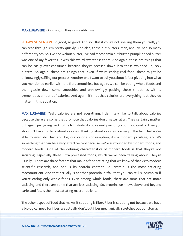MAX LUGAVERE: Oh, my god, they're so addictive.

**SHAWN STEVENSON:** So good, so good. And so... But if you're not shelling them yourself, you can tear through 'em pretty quickly. And also, these nut butters, man, and I've had so many different types. So, I've had walnut butter, I've had macadamia nut butter, pumpkin seed butter was one of my favorites, it was this weird sweetness there. And again, these are things that can be easily over-consumed because they're pressed down into these whipped up, sexy butters. So again, these are things that, even if we're eating real food, these might be unknowingly stifling our process. Another one I want to ask you about is just pivoting into what you mentioned earlier with the fruit smoothies, but again, we can be eating whole foods and then guzzle down some smoothies and unknowingly packing these smoothies with a tremendous amount of calories. And again, it's not that calories are everything, but they do matter in this equation.

MAX LUGAVERE: Yeah, calories are not everything. I definitely like to talk about calories because there are some that promote that calories don't matter at all. They certainly matter, but again, just going back to the NIH study, if you're really minding your food quality, then you shouldn't have to think about calories. Thinking about calories is a very... The fact that we're able to even do that and log our calorie consumption, it's a modern privilege, and it's something that can be a very effective tool because we're surrounded by modern foods, and modern foods... One of the defining characteristics of modern foods is that they're not satiating, especially these ultra-processed foods, which we've been talking about. They're usually... There are three factors that make a food satiating that we know of thanks to modern scientific research, and one is its protein content. So, protein is the most satiating macronutrient. And that actually is another potential pitfall that you can still succumb to if you're eating only whole foods. Even among whole foods, there are some that are more satiating and there are some that are less satiating. So, protein, we know, above and beyond carbs and fat, is the most satiating macronutrient.

The other aspect of food that makes it satiating is fiber. Fiber is satiating not because we have [a biological need for fiber, we actually don](https://themodelhealthshow.com/podcasts/max-lugavere-metabollic-chaos/)'[t, but fiber mechanically stretches out our stomach.](https://themodelhealthshow.com/podcasts/max-lugavere-metabollic-chaos/) 

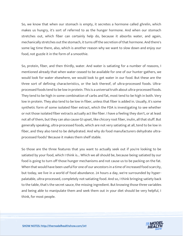So, we know that when our stomach is empty, it secretes a hormone called ghrelin, which makes us hungry, it's sort of referred to as the hunger hormone. And when our stomach stretches out, which fiber can certainly help do, because it absorbs water, and again, mechanically stretches out the stomach, it turns off the secretion of that hormone. And there's some lag time there, also, which is another reason why we want to slow down and enjoy our food, not guzzle it in the form of a smoothie.

So, protein, fiber, and then thirdly, water. And water is satiating for a number of reasons, I mentioned already that when water ceased to be available for one of our hunter-gathers, we would look for water elsewhere, we would look to get water in our food. But these are the three sort of defining characteristics, or the lack thereof, of ultra-processed foods. Ultraprocessed foods tend to be low in protein. This is a universal truth about ultra-processed foods. They tend to be high in some combination of carbs and fat, most tend to be high in both. Very low in protein. They also tend to be low in fiber, unless that fiber is added in. Usually, it's some synthetic form of some isolated fiber extract, which the FDA is investigating to see whether or not those isolated fiber extracts actually act like fiber. I have a feeling they don't, or at least not all of them, but they can also cause GI upset, like chicory root fiber, inulin, all that stuff. But generally speaking, ultra-processed foods, which are not very satiating at all, tend to be low in fiber, and they also tend to be dehydrated. And why do food manufacturers dehydrate ultraprocessed foods? Because it makes them shelf stable.

So those are the three features that you want to actually seek out if you're looking to be satiated by your food, which I think is... Which we all should be, because being satiated by our food is going to turn off those hunger mechanisms and not cause us to be packing on the fat. When that would have been useful for one of our ancestors in a time of increased food scarcity, but today, we live in a world of food abundance. 24 hours a day, we're surrounded by hyperpalatable, ultra-processed, completely not-satiating food. And so, I think bringing satiety back to the table, that's the secret sauce, the missing ingredient. But knowing those three variables and being able to manipulate them and seek them out in your diet should be very helpful, I think, for most people.

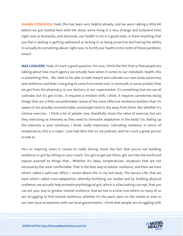**SHAWN STEVENSON:** Yeah, this has been very helpful already, and we were talking a little bit before we got started here with the show, we're living in a very strange and turbulent time right now as humanity, and obviously, our health is not in a good state. Is there anything that you feel is lacking in getting addressed or lacking in us being proactive and having the ability to actually do something about, right now, to fortify our health in the midst of these pandemic times?

MAX LUGAVERE: Yeah, it's such a good question. For one, I think the fact that so few people are talking about how much agency we actually have when it comes to our metabolic health, this is something that... We need to be able to look inward and cultivate our own body autonomy and resilience, and that's not going to come from some tool, or some pill, or some product that we get from the pharmacy, or our doctors, or our supermarket. It's something that we can all cultivate, but it's got to be... It requires a mindset shift, I think. It requires sometimes doing things that are a little uncomfortable. Some of the most effective resilience builders that I'm aware of are actually uncomfortable, and people tend to shy away from them. But whether it's intense exercise... I think a lot of people now, thankfully, know the value of exercise, but are they exercising as intensely as they need to stimulate adaptation in the body? So, dialing up the intensity in your workouts, I think, really important, cultivating resilience in terms of temperature, this is a major. I just had Wim Hof on my podcast, and he's such a great person to talk to.

He's so inspiring when it comes to really driving home the fact that you're not building resilience or grit by sitting on your couch. You got to get out there, get out into the world and expose yourself to things that... Whether it's ideas, temperatures, situations that are not necessarily the most comfortable. That is the best way to bolster resilience, and then we have what's called a spill-over effect. I wrote about this in my last book, The Genius Life, that we have what's called cross-adaptation, whereby fortifying our bodies and by building physical resilience, we actually help promote psychological grit, which is a fascinating concept, that you can act your way to greater mental resilience. And we live in a time now where so many of us are struggling to find mental resilience, whether it's the panic porn on the media or even in our own local ecosystems with our local governments. I think that people are struggling with

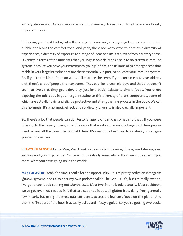anxiety, depression. Alcohol sales are up, unfortunately, today, so, I think these are all really important tools.

But again, your best biological self is going to come only once you get out of your comfort bubble and leave the comfort zone. And yeah, there are many ways to do that, a diversity of experiences, a diversity of exposure to a range of ideas and insights, even from a dietary sense. Diversity in terms of the nutrients that you ingest on a daily basis help to bolster your immune system, because you have your microbiota, your gut flora, the trillions of microorganisms that reside in your large intestine that are there essentially in part, to educate your immune system. So, if you're the kind of person who... I like to use the term, if you consume a 12-year-old boy diet, there's a lot of people that consume... They eat like 12-year-old boys and that diet doesn't seem to evolve as they get older, they just love basic, palatable, simple foods. You're not exposing the microbes in your large intestine to this diversity of plant compounds, some of which are actually toxic, and elicit a protective and strengthening process in the body. We call this hormesis. It's a hormetic effect, and so, dietary diversity is also crucially important.

So, there's a lot that people can do. Personal agency, I think, is something that... If you were listening to the news, you might get the sense that we don't have a lot of agency. I think people need to turn off the news. That's what I think. It's one of the best health boosters you can give yourself these days.

**SHAWN STEVENSON:** Facts. Man, Max, thank you so much for coming through and sharing your wisdom and your experience. Can you let everybody know where they can connect with you more, what you have going on in the world?

MAX LUGAVERE: Yeah, for sure. Thanks for the opportunity. So, I'm pretty active on Instagram @MaxLugavere, and I also host my own podcast called The Genius Life, but I'm really excited, I've got a cookbook coming out March, 2022. It's a two-in-one book, actually, it's a cookbook, we've got over 100 recipes in it that are super delicious, all gluten-free, dairy-free, generally low in carb, but using the most nutrient-dense, accessible low-cost foods on the planet. And then the first part of the book is actually a diet and lifestyle guide. So, you're getting two books

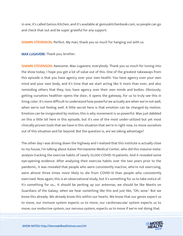in one, it's called Genius Kitchen, and it's available at geniuskitchenbook.com, so people can go and check that out and be super grateful for any support.

**SHAWN STEVENSON:** Perfect. My man, thank you so much for hanging out with us.

MAX LUGAVERE: Thank you, brother.

SHAWN STEVENSON: Awesome. Max Lugavere, everybody. Thank you so much for tuning into the show today. I hope you get a lot of value out of this. One of the greatest takeaways from this episode is that you have agency over your own health. You have agency over your own mind and your own body, and it's time that we start acting like it more than ever, and also reminding others that they, too, have agency over their own minds and bodies. Obviously, getting ourselves healthier opens the door, it opens the gateway, for us to truly see this in living color. It's more difficult to understand how powerful we actually are when we're not well, when we're not feeling well. A little secret here is that emotion can be changed by motion. Emotion can be invigorated by motion; this is why movement is so powerful. Max just dabbled on this a little bit here in this episode, but it's one of the most under-utilized but yet most clinically-proven tools that we have in this situation that we're in right now, to move ourselves out of this situation and far beyond. But the question is, are we taking advantage?

The other day I was driving down the highway and I realized that this institute is actually close to my house, I'm talking about Kaiser Permanente Medical Center, who did this massive metaanalysis tracking the exercise habits of nearly 50,000 COVID-19 patients. And it revealed some eye-opening evidence. After analyzing their exercise habits over the two years prior to the pandemic, it was revealed that people who were consistently inactive, who're not exercising, were almost three times more likely to die from COVID-19 than people who consistently exercised. Now again, this is an observational study, but it's something for us to take notice of. It's something for us... It should be perking up our antennas, we should be like Mantis on Guardians of the Galaxy, when we hear something like this and just like, "Oh, wow." But we know this already. We already know this within our hearts. We know that our genes expect us to move, our immune system expects us to move, our cardiovascular system expects us to [move, our endocrine system, our nervous system, expects us to move if we](https://themodelhealthshow.com/podcasts/max-lugavere-metabollic-chaos/)'[re not doing that.](https://themodelhealthshow.com/podcasts/max-lugavere-metabollic-chaos/)